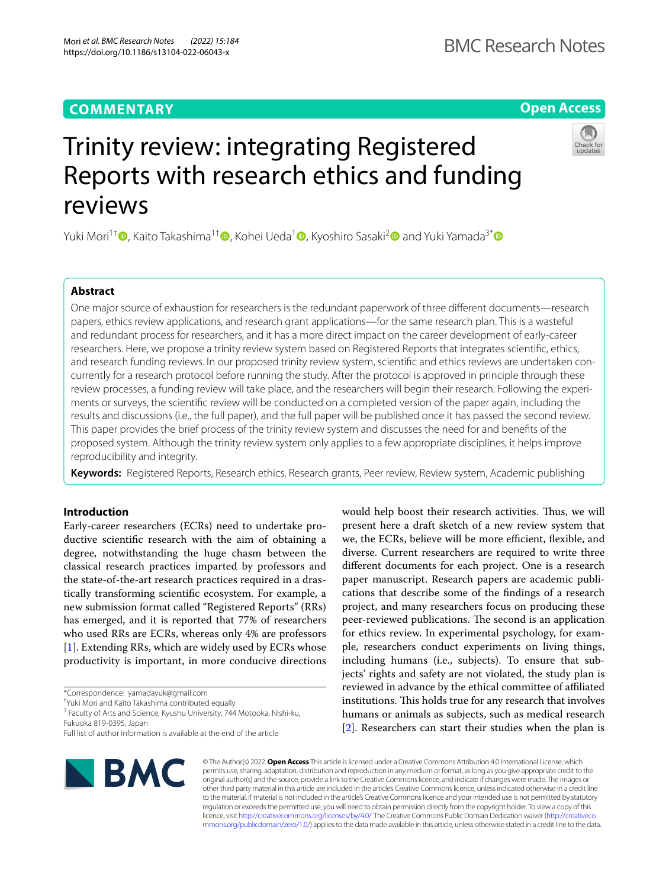Mori *et al. BMC Research Notes (2022) 15:184*  https://doi.org/10.1186/s13104-022-06043-x

## **Open Access**

# Trinity review: integrating Registered Reports with research ethics and funding reviews

Yuki Mori<sup>1†</sup> [,](https://orcid.org/0000-0002-8783-6382) Kaito Takashima<sup>1[†](https://orcid.org/0000-0002-7489-5682)</sup> , Kohei Ueda<sup>[1](https://orcid.org/0000-0003-1818-8366)</sup> , Kyoshiro Sasaki<sup>2</sup> and Yuki Yamada<sup>3\*</sup>  $\bullet$ 

## **Abstract**

One major source of exhaustion for researchers is the redundant paperwork of three diferent documents—research papers, ethics review applications, and research grant applications—for the same research plan. This is a wasteful and redundant process for researchers, and it has a more direct impact on the career development of early-career researchers. Here, we propose a trinity review system based on Registered Reports that integrates scientifc, ethics, and research funding reviews. In our proposed trinity review system, scientifc and ethics reviews are undertaken concurrently for a research protocol before running the study. After the protocol is approved in principle through these review processes, a funding review will take place, and the researchers will begin their research. Following the experiments or surveys, the scientifc review will be conducted on a completed version of the paper again, including the results and discussions (i.e., the full paper), and the full paper will be published once it has passed the second review. This paper provides the brief process of the trinity review system and discusses the need for and benefts of the proposed system. Although the trinity review system only applies to a few appropriate disciplines, it helps improve reproducibility and integrity.

**Keywords:** Registered Reports, Research ethics, Research grants, Peer review, Review system, Academic publishing

## **Introduction**

Early-career researchers (ECRs) need to undertake productive scientifc research with the aim of obtaining a degree, notwithstanding the huge chasm between the classical research practices imparted by professors and the state-of-the-art research practices required in a drastically transforming scientifc ecosystem. For example, a new submission format called "Registered Reports" (RRs) has emerged, and it is reported that 77% of researchers who used RRs are ECRs, whereas only 4% are professors [[1\]](#page-4-0). Extending RRs, which are widely used by ECRs whose productivity is important, in more conducive directions

\*Correspondence: yamadayuk@gmail.com

† Yuki Mori and Kaito Takashima contributed equally

<sup>3</sup> Faculty of Arts and Science, Kyushu University, 744 Motooka, Nishi-ku, Fukuoka 819-0395, Japan

would help boost their research activities. Thus, we will present here a draft sketch of a new review system that we, the ECRs, believe will be more efficient, flexible, and diverse. Current researchers are required to write three diferent documents for each project. One is a research paper manuscript. Research papers are academic publications that describe some of the fndings of a research project, and many researchers focus on producing these peer-reviewed publications. The second is an application for ethics review. In experimental psychology, for example, researchers conduct experiments on living things, including humans (i.e., subjects). To ensure that subjects' rights and safety are not violated, the study plan is reviewed in advance by the ethical committee of afliated institutions. This holds true for any research that involves humans or animals as subjects, such as medical research [[2\]](#page-4-1). Researchers can start their studies when the plan is



© The Author(s) 2022. **Open Access** This article is licensed under a Creative Commons Attribution 4.0 International License, which permits use, sharing, adaptation, distribution and reproduction in any medium or format, as long as you give appropriate credit to the original author(s) and the source, provide a link to the Creative Commons licence, and indicate if changes were made. The images or other third party material in this article are included in the article's Creative Commons licence, unless indicated otherwise in a credit line to the material. If material is not included in the article's Creative Commons licence and your intended use is not permitted by statutory regulation or exceeds the permitted use, you will need to obtain permission directly from the copyright holder. To view a copy of this licence, visit [http://creativecommons.org/licenses/by/4.0/.](http://creativecommons.org/licenses/by/4.0/) The Creative Commons Public Domain Dedication waiver ([http://creativeco](http://creativecommons.org/publicdomain/zero/1.0/) [mmons.org/publicdomain/zero/1.0/](http://creativecommons.org/publicdomain/zero/1.0/)) applies to the data made available in this article, unless otherwise stated in a credit line to the data.



Full list of author information is available at the end of the article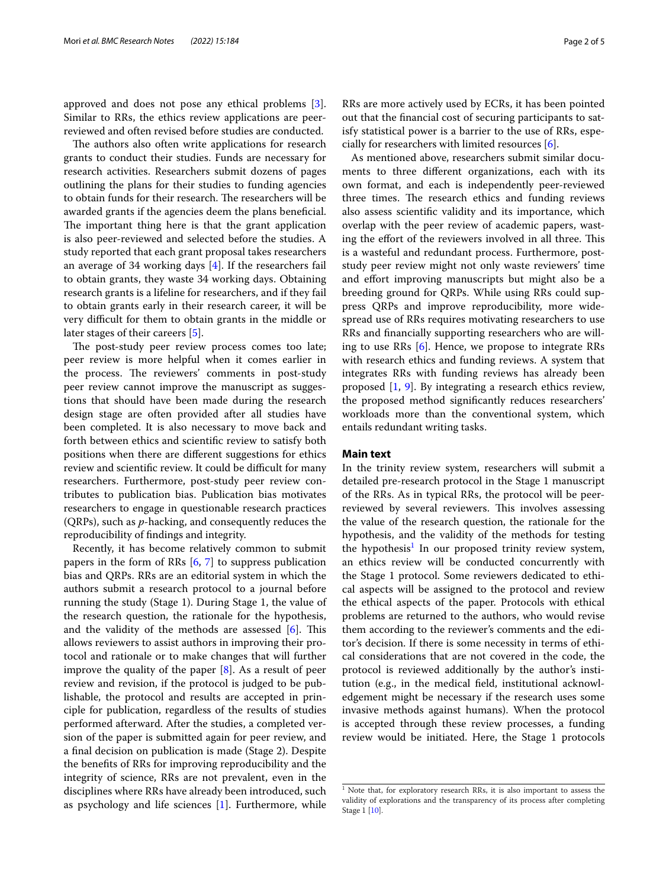approved and does not pose any ethical problems [\[3](#page-4-2)]. Similar to RRs, the ethics review applications are peerreviewed and often revised before studies are conducted.

The authors also often write applications for research grants to conduct their studies. Funds are necessary for research activities. Researchers submit dozens of pages outlining the plans for their studies to funding agencies to obtain funds for their research. The researchers will be awarded grants if the agencies deem the plans benefcial. The important thing here is that the grant application is also peer-reviewed and selected before the studies. A study reported that each grant proposal takes researchers an average of 34 working days [\[4\]](#page-4-3). If the researchers fail to obtain grants, they waste 34 working days. Obtaining research grants is a lifeline for researchers, and if they fail to obtain grants early in their research career, it will be very difficult for them to obtain grants in the middle or later stages of their careers [\[5](#page-4-4)].

The post-study peer review process comes too late; peer review is more helpful when it comes earlier in the process. The reviewers' comments in post-study peer review cannot improve the manuscript as suggestions that should have been made during the research design stage are often provided after all studies have been completed. It is also necessary to move back and forth between ethics and scientifc review to satisfy both positions when there are diferent suggestions for ethics review and scientific review. It could be difficult for many researchers. Furthermore, post-study peer review contributes to publication bias. Publication bias motivates researchers to engage in questionable research practices (QRPs), such as *p*-hacking, and consequently reduces the reproducibility of fndings and integrity.

Recently, it has become relatively common to submit papers in the form of RRs [\[6](#page-4-5), [7](#page-4-6)] to suppress publication bias and QRPs. RRs are an editorial system in which the authors submit a research protocol to a journal before running the study (Stage 1). During Stage 1, the value of the research question, the rationale for the hypothesis, and the validity of the methods are assessed  $[6]$  $[6]$ . This allows reviewers to assist authors in improving their protocol and rationale or to make changes that will further improve the quality of the paper [[8\]](#page-4-7). As a result of peer review and revision, if the protocol is judged to be publishable, the protocol and results are accepted in principle for publication, regardless of the results of studies performed afterward. After the studies, a completed version of the paper is submitted again for peer review, and a fnal decision on publication is made (Stage 2). Despite the benefts of RRs for improving reproducibility and the integrity of science, RRs are not prevalent, even in the disciplines where RRs have already been introduced, such as psychology and life sciences [\[1](#page-4-0)]. Furthermore, while RRs are more actively used by ECRs, it has been pointed out that the fnancial cost of securing participants to satisfy statistical power is a barrier to the use of RRs, especially for researchers with limited resources [[6](#page-4-5)].

As mentioned above, researchers submit similar documents to three diferent organizations, each with its own format, and each is independently peer-reviewed three times. The research ethics and funding reviews also assess scientifc validity and its importance, which overlap with the peer review of academic papers, wasting the effort of the reviewers involved in all three. This is a wasteful and redundant process. Furthermore, poststudy peer review might not only waste reviewers' time and efort improving manuscripts but might also be a breeding ground for QRPs. While using RRs could suppress QRPs and improve reproducibility, more widespread use of RRs requires motivating researchers to use RRs and fnancially supporting researchers who are willing to use RRs [\[6](#page-4-5)]. Hence, we propose to integrate RRs with research ethics and funding reviews. A system that integrates RRs with funding reviews has already been proposed [[1,](#page-4-0) [9](#page-4-8)]. By integrating a research ethics review, the proposed method signifcantly reduces researchers' workloads more than the conventional system, which entails redundant writing tasks.

#### **Main text**

In the trinity review system, researchers will submit a detailed pre-research protocol in the Stage 1 manuscript of the RRs. As in typical RRs, the protocol will be peerreviewed by several reviewers. This involves assessing the value of the research question, the rationale for the hypothesis, and the validity of the methods for testing the hypothesis<sup>[1](#page-1-0)</sup> In our proposed trinity review system, an ethics review will be conducted concurrently with the Stage 1 protocol. Some reviewers dedicated to ethical aspects will be assigned to the protocol and review the ethical aspects of the paper. Protocols with ethical problems are returned to the authors, who would revise them according to the reviewer's comments and the editor's decision. If there is some necessity in terms of ethical considerations that are not covered in the code, the protocol is reviewed additionally by the author's institution (e.g., in the medical feld, institutional acknowledgement might be necessary if the research uses some invasive methods against humans). When the protocol is accepted through these review processes, a funding review would be initiated. Here, the Stage 1 protocols

<span id="page-1-0"></span> $1$  Note that, for exploratory research RRs, it is also important to assess the validity of explorations and the transparency of its process after completing Stage 1 [\[10](#page-4-9)].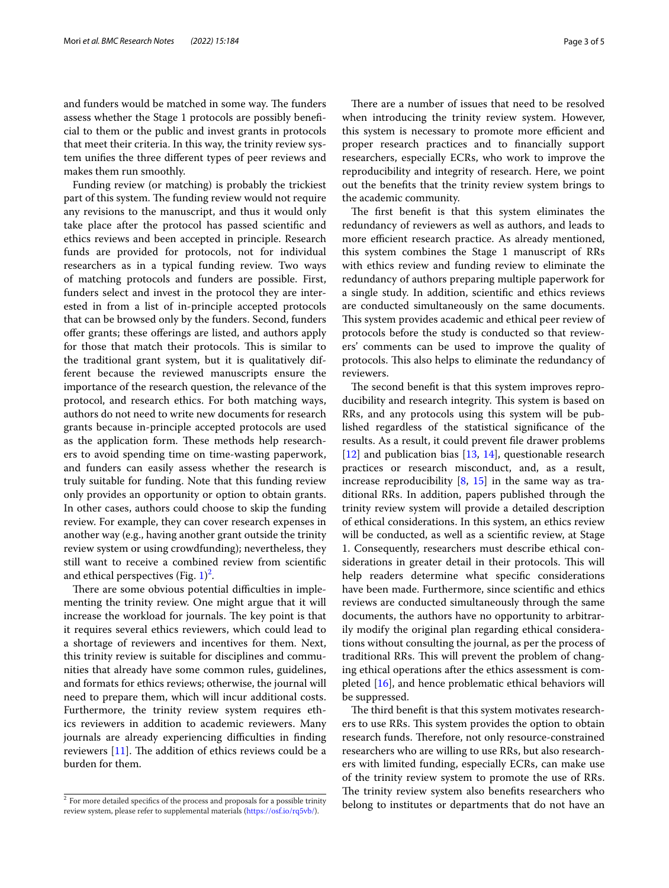and funders would be matched in some way. The funders assess whether the Stage 1 protocols are possibly benefcial to them or the public and invest grants in protocols that meet their criteria. In this way, the trinity review system unifes the three diferent types of peer reviews and makes them run smoothly.

Funding review (or matching) is probably the trickiest part of this system. The funding review would not require any revisions to the manuscript, and thus it would only take place after the protocol has passed scientifc and ethics reviews and been accepted in principle. Research funds are provided for protocols, not for individual researchers as in a typical funding review. Two ways of matching protocols and funders are possible. First, funders select and invest in the protocol they are interested in from a list of in-principle accepted protocols that can be browsed only by the funders. Second, funders ofer grants; these oferings are listed, and authors apply for those that match their protocols. This is similar to the traditional grant system, but it is qualitatively different because the reviewed manuscripts ensure the importance of the research question, the relevance of the protocol, and research ethics. For both matching ways, authors do not need to write new documents for research grants because in-principle accepted protocols are used as the application form. These methods help researchers to avoid spending time on time-wasting paperwork, and funders can easily assess whether the research is truly suitable for funding. Note that this funding review only provides an opportunity or option to obtain grants. In other cases, authors could choose to skip the funding review. For example, they can cover research expenses in another way (e.g., having another grant outside the trinity review system or using crowdfunding); nevertheless, they still want to receive a combined review from scientifc and ethical perspectives (Fig.  $1)^2$  $1)^2$ .

There are some obvious potential difficulties in implementing the trinity review. One might argue that it will increase the workload for journals. The key point is that it requires several ethics reviewers, which could lead to a shortage of reviewers and incentives for them. Next, this trinity review is suitable for disciplines and communities that already have some common rules, guidelines, and formats for ethics reviews; otherwise, the journal will need to prepare them, which will incur additional costs. Furthermore, the trinity review system requires ethics reviewers in addition to academic reviewers. Many journals are already experiencing difficulties in finding reviewers  $[11]$ . The addition of ethics reviews could be a burden for them.

There are a number of issues that need to be resolved when introducing the trinity review system. However, this system is necessary to promote more efficient and proper research practices and to fnancially support researchers, especially ECRs, who work to improve the reproducibility and integrity of research. Here, we point out the benefts that the trinity review system brings to the academic community.

The first benefit is that this system eliminates the redundancy of reviewers as well as authors, and leads to more efficient research practice. As already mentioned, this system combines the Stage 1 manuscript of RRs with ethics review and funding review to eliminate the redundancy of authors preparing multiple paperwork for a single study. In addition, scientifc and ethics reviews are conducted simultaneously on the same documents. This system provides academic and ethical peer review of protocols before the study is conducted so that reviewers' comments can be used to improve the quality of protocols. This also helps to eliminate the redundancy of reviewers.

The second benefit is that this system improves reproducibility and research integrity. This system is based on RRs, and any protocols using this system will be published regardless of the statistical signifcance of the results. As a result, it could prevent fle drawer problems [[12\]](#page-4-11) and publication bias  $[13, 14]$  $[13, 14]$  $[13, 14]$  $[13, 14]$  $[13, 14]$ , questionable research practices or research misconduct, and, as a result, increase reproducibility  $[8, 15]$  $[8, 15]$  $[8, 15]$  in the same way as traditional RRs. In addition, papers published through the trinity review system will provide a detailed description of ethical considerations. In this system, an ethics review will be conducted, as well as a scientifc review, at Stage 1. Consequently, researchers must describe ethical considerations in greater detail in their protocols. This will help readers determine what specifc considerations have been made. Furthermore, since scientifc and ethics reviews are conducted simultaneously through the same documents, the authors have no opportunity to arbitrarily modify the original plan regarding ethical considerations without consulting the journal, as per the process of traditional RRs. This will prevent the problem of changing ethical operations after the ethics assessment is completed [\[16](#page-4-15)], and hence problematic ethical behaviors will be suppressed.

The third benefit is that this system motivates researchers to use RRs. This system provides the option to obtain research funds. Therefore, not only resource-constrained researchers who are willing to use RRs, but also researchers with limited funding, especially ECRs, can make use of the trinity review system to promote the use of RRs. The trinity review system also benefits researchers who <sup>2</sup> For more detailed specifics of the process and proposals for a possible trinity belong to institutes or departments that do not have an

<span id="page-2-0"></span>review system, please refer to supplemental materials [\(https://osf.io/rq5vb/](https://osf.io/rq5vb/)).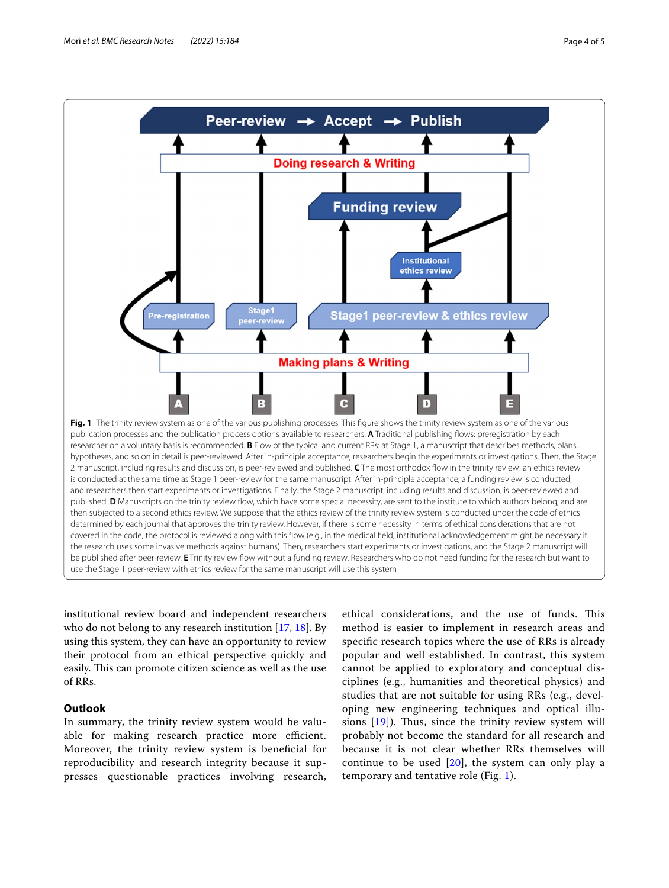

<span id="page-3-0"></span>institutional review board and independent researchers who do not belong to any research institution [\[17,](#page-4-16) [18](#page-4-17)]. By using this system, they can have an opportunity to review their protocol from an ethical perspective quickly and easily. This can promote citizen science as well as the use of RRs.

### **Outlook**

In summary, the trinity review system would be valuable for making research practice more efficient. Moreover, the trinity review system is benefcial for reproducibility and research integrity because it suppresses questionable practices involving research,

ethical considerations, and the use of funds. This method is easier to implement in research areas and specifc research topics where the use of RRs is already popular and well established. In contrast, this system cannot be applied to exploratory and conceptual disciplines (e.g., humanities and theoretical physics) and studies that are not suitable for using RRs (e.g., developing new engineering techniques and optical illusions  $[19]$  $[19]$ ). Thus, since the trinity review system will probably not become the standard for all research and because it is not clear whether RRs themselves will continue to be used  $[20]$  $[20]$ , the system can only play a temporary and tentative role (Fig. [1](#page-3-0)).